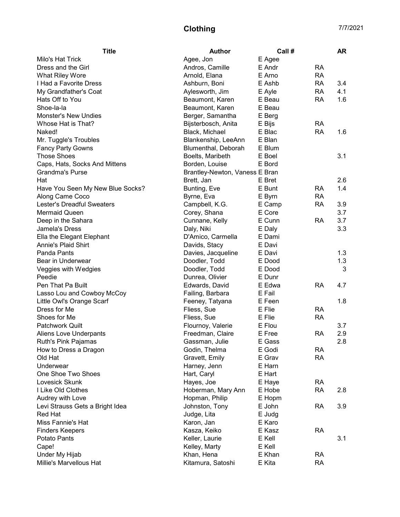## Clothing 7/7/2021

| <b>Title</b><br><b>Author</b><br>Call #                                    | <b>AR</b> |
|----------------------------------------------------------------------------|-----------|
| Milo's Hat Trick<br>Agee, Jon<br>E Agee                                    |           |
| Dress and the Girl<br>E Andr<br><b>RA</b><br>Andros, Camille               |           |
| <b>RA</b><br>What Riley Wore<br>Arnold, Elana<br>E Arno                    |           |
| I Had a Favorite Dress<br>E Ashb<br><b>RA</b><br>Ashburn, Boni             | 3.4       |
| My Grandfather's Coat<br>Aylesworth, Jim<br>E Ayle<br><b>RA</b>            | 4.1       |
| <b>RA</b><br>Hats Off to You<br>Beaumont, Karen<br>E Beau                  | 1.6       |
| Shoe-la-la<br>Beaumont, Karen<br>E Beau                                    |           |
| <b>Monster's New Undies</b><br>Berger, Samantha<br>E Berg                  |           |
| Whose Hat is That?<br>Bijsterbosch, Anita<br><b>RA</b><br>E Bijs           |           |
| E Blac<br><b>RA</b><br>Naked!<br>Black, Michael                            | 1.6       |
| E Blan<br>Mr. Tuggle's Troubles<br>Blankenship, LeeAnn                     |           |
| Blumenthal, Deborah<br>E Blum<br><b>Fancy Party Gowns</b>                  |           |
| <b>Those Shoes</b><br>Boelts, Maribeth<br>E Boel                           | 3.1       |
| Borden, Louise<br>E Bord<br>Caps, Hats, Socks And Mittens                  |           |
| <b>Grandma's Purse</b><br>Brantley-Newton, Vaness E Bran                   |           |
| E Bret<br>Hat<br>Brett, Jan                                                | 2.6       |
| E Bunt<br><b>RA</b><br>Have You Seen My New Blue Socks?<br>Bunting, Eve    | 1.4       |
| <b>RA</b><br>Along Came Coco<br>Byrne, Eva<br>E Byrn                       |           |
| <b>Lester's Dreadful Sweaters</b><br>Campbell, K.G.<br>E Camp<br><b>RA</b> | 3.9       |
| <b>Mermaid Queen</b><br>Corey, Shana<br>E Core                             | 3.7       |
| Cunnane, Kelly<br>E Cunn<br><b>RA</b><br>Deep in the Sahara                | 3.7       |
| Jamela's Dress<br>Daly, Niki<br>E Daly                                     | 3.3       |
| Ella the Elegant Elephant<br>D'Amico, Carmella<br>E Dami                   |           |
| <b>Annie's Plaid Shirt</b><br>Davids, Stacy<br>E Davi                      |           |
| Panda Pants<br>Davies, Jacqueline<br>E Davi                                | 1.3       |
| Doodler, Todd<br>E Dood<br>Bear in Underwear                               | 1.3       |
| E Dood<br>Veggies with Wedgies<br>Doodler, Todd                            | 3         |
| E Dunr<br>Peedie<br>Dunrea, Olivier                                        |           |
| Pen That Pa Built<br>E Edwa<br><b>RA</b><br>Edwards, David                 | 4.7       |
| Lasso Lou and Cowboy McCoy<br>Failing, Barbara<br>E Fail                   |           |
| Feeney, Tatyana<br>E Feen<br>Little Owl's Orange Scarf                     | 1.8       |
| E Flie<br>Dress for Me<br>Fliess, Sue<br><b>RA</b>                         |           |
| Shoes for Me<br>Fliess, Sue<br>E Flie<br><b>RA</b>                         |           |
| Patchwork Quilt<br>Flournoy, Valerie<br>E Flou                             | 3.7       |
| Freedman, Claire<br>E Free<br><b>RA</b><br>Aliens Love Underpants          | 2.9       |
| Ruth's Pink Pajamas<br>Gassman, Julie<br>E Gass                            | 2.8       |
| Godin, Thelma<br>E Godi<br><b>RA</b><br>How to Dress a Dragon              |           |
| E Grav<br>Old Hat<br>Gravett, Emily<br><b>RA</b>                           |           |
| Underwear<br>Harney, Jenn<br>E Harn                                        |           |
| One Shoe Two Shoes<br>Hart, Caryl<br>E Hart                                |           |
| Lovesick Skunk<br>Hayes, Joe<br><b>RA</b><br>E Haye                        |           |
| I Like Old Clothes<br>Hoberman, Mary Ann<br><b>RA</b><br>E Hobe            | 2.8       |
| Audrey with Love<br>Hopman, Philip<br>E Hopm                               |           |
| Levi Strauss Gets a Bright Idea<br>Johnston, Tony<br>E John<br>RA          | 3.9       |
| <b>Red Hat</b><br>Judge, Lita<br>E Judg                                    |           |
| Miss Fannie's Hat<br>Karon, Jan<br>E Karo                                  |           |
| E Kasz<br><b>RA</b><br>Kasza, Keiko<br><b>Finders Keepers</b>              |           |
| Keller, Laurie<br>Potato Pants<br>E Kell                                   | 3.1       |
| Kelley, Marty<br>E Kell<br>Cape!                                           |           |
| Under My Hijab<br>Khan, Hena<br>E Khan<br><b>RA</b>                        |           |
| Millie's Marvellous Hat<br>E Kita<br>Kitamura, Satoshi<br><b>RA</b>        |           |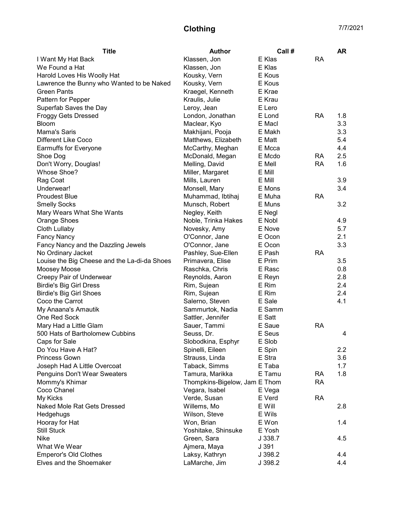## Clothing 7/7/2021

| <b>Title</b>                                 | <b>Author</b>                 | Call #  |           | <b>AR</b> |
|----------------------------------------------|-------------------------------|---------|-----------|-----------|
| I Want My Hat Back                           | Klassen, Jon                  | E Klas  | <b>RA</b> |           |
| We Found a Hat                               | Klassen, Jon                  | E Klas  |           |           |
| Harold Loves His Woolly Hat                  | Kousky, Vern                  | E Kous  |           |           |
| Lawrence the Bunny who Wanted to be Naked    | Kousky, Vern                  | E Kous  |           |           |
| <b>Green Pants</b>                           | Kraegel, Kenneth              | E Krae  |           |           |
| Pattern for Pepper                           | Kraulis, Julie                | E Krau  |           |           |
| Superfab Saves the Day                       | Leroy, Jean                   | E Lero  |           |           |
| <b>Froggy Gets Dressed</b>                   | London, Jonathan              | E Lond  | RA        | 1.8       |
| <b>Bloom</b>                                 | Maclear, Kyo                  | E Macl  |           | 3.3       |
| Mama's Saris                                 | Makhijani, Pooja              | E Makh  |           | 3.3       |
| Different Like Coco                          | Matthews, Elizabeth           | E Matt  |           | 5.4       |
| Earmuffs for Everyone                        | McCarthy, Meghan              | E Mcca  |           | 4.4       |
| Shoe Dog                                     | McDonald, Megan               | E Mcdo  | <b>RA</b> | 2.5       |
| Don't Worry, Douglas!                        | Melling, David                | E Mell  | <b>RA</b> | 1.6       |
| Whose Shoe?                                  | Miller, Margaret              | E Mill  |           |           |
| Rag Coat                                     | Mills, Lauren                 | E Mill  |           | 3.9       |
| Underwear!                                   | Monsell, Mary                 | E Mons  |           | 3.4       |
| <b>Proudest Blue</b>                         | Muhammad, Ibtihaj             | E Muha  | <b>RA</b> |           |
| <b>Smelly Socks</b>                          | Munsch, Robert                | E Muns  |           | 3.2       |
| Mary Wears What She Wants                    | Negley, Keith                 | E Negl  |           |           |
| Orange Shoes                                 | Noble, Trinka Hakes           | E Nobl  |           | 4.9       |
| Cloth Lullaby                                | Novesky, Amy                  | E Nove  |           | 5.7       |
| <b>Fancy Nancy</b>                           | O'Connor, Jane                | E Ocon  |           | 2.1       |
| Fancy Nancy and the Dazzling Jewels          | O'Connor, Jane                | E Ocon  |           | 3.3       |
| No Ordinary Jacket                           | Pashley, Sue-Ellen            | E Pash  | <b>RA</b> |           |
| Louise the Big Cheese and the La-di-da Shoes | Primavera, Elise              | E Prim  |           | 3.5       |
| Moosey Moose                                 | Raschka, Chris                | E Rasc  |           | 0.8       |
| Creepy Pair of Underwear                     | Reynolds, Aaron               | E Reyn  |           | 2.8       |
| <b>Birdie's Big Girl Dress</b>               | Rim, Sujean                   | E Rim   |           | 2.4       |
| <b>Birdie's Big Girl Shoes</b>               | Rim, Sujean                   | E Rim   |           | 2.4       |
| Coco the Carrot                              | Salerno, Steven               | E Sale  |           | 4.1       |
| My Anaana's Amautik                          | Sammurtok, Nadia              | E Samm  |           |           |
| One Red Sock                                 | Sattler, Jennifer             | E Satt  |           |           |
| Mary Had a Little Glam                       | Sauer, Tammi                  | E Saue  | <b>RA</b> |           |
| 500 Hats of Bartholomew Cubbins              | Seuss, Dr.                    | E Seus  |           | 4         |
| Caps for Sale                                | Slobodkina, Esphyr            | E Slob  |           |           |
| Do You Have A Hat?                           | Spinelli, Eileen              | E Spin  |           | 2.2       |
| Princess Gown                                | Strauss, Linda                | E Stra  |           | 3.6       |
| Joseph Had A Little Overcoat                 | Taback, Simms                 | E Taba  |           | 1.7       |
| Penguins Don't Wear Sweaters                 | Tamura, Marikka               | E Tamu  | <b>RA</b> | 1.8       |
| Mommy's Khimar                               | Thompkins-Bigelow, Jam E Thom |         | <b>RA</b> |           |
| Coco Chanel                                  | Vegara, Isabel                | E Vega  |           |           |
| My Kicks                                     | Verde, Susan                  | E Verd  | <b>RA</b> |           |
| Naked Mole Rat Gets Dressed                  | Willems, Mo                   | E Will  |           | 2.8       |
| Hedgehugs                                    | Wilson, Steve                 | E Wils  |           |           |
| Hooray for Hat                               | Won, Brian                    | E Won   |           | 1.4       |
| <b>Still Stuck</b>                           | Yoshitake, Shinsuke           | E Yosh  |           |           |
| Nike                                         | Green, Sara                   | J 338.7 |           | 4.5       |
| What We Wear                                 | Ajmera, Maya                  | J 391   |           |           |
| <b>Emperor's Old Clothes</b>                 | Laksy, Kathryn                | J 398.2 |           | 4.4       |
| Elves and the Shoemaker                      | LaMarche, Jim                 | J 398.2 |           | 4.4       |